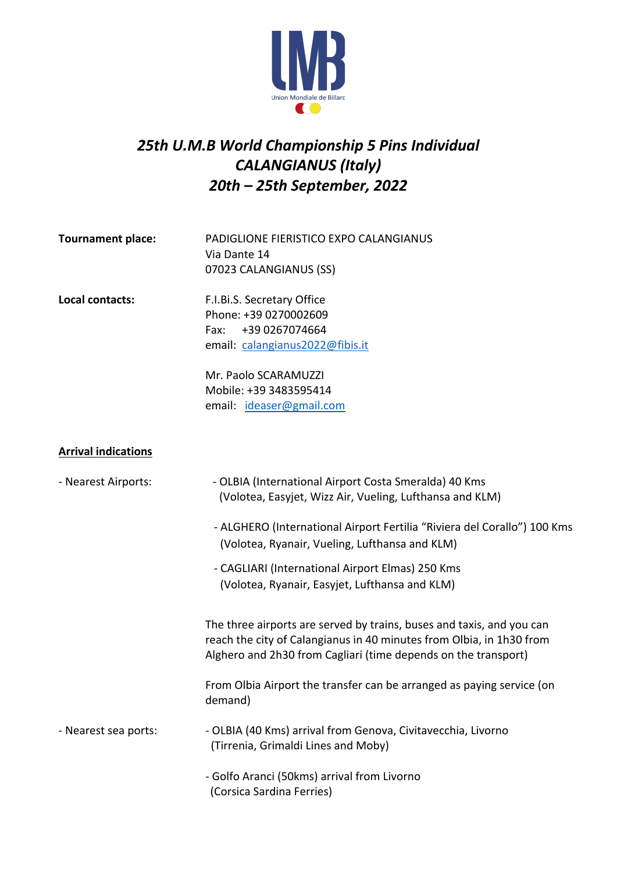

# *25th U.M.B World Championship 5 Pins Individual CALANGIANUS (Italy) 20th – 25th September, 2022*

| <b>Tournament place:</b>   | PADIGLIONE FIERISTICO EXPO CALANGIANUS<br>Via Dante 14<br>07023 CALANGIANUS (SS)                                                                                                                                |  |  |
|----------------------------|-----------------------------------------------------------------------------------------------------------------------------------------------------------------------------------------------------------------|--|--|
| Local contacts:            | F.I.Bi.S. Secretary Office<br>Phone: +39 0270002609<br>+39 0267074664<br>Fax:<br>email: calangianus2022@fibis.it<br>Mr. Paolo SCARAMUZZI<br>Mobile: +39 3483595414<br>email: ideaser@gmail.com                  |  |  |
| <b>Arrival indications</b> |                                                                                                                                                                                                                 |  |  |
| - Nearest Airports:        | - OLBIA (International Airport Costa Smeralda) 40 Kms<br>(Volotea, Easyjet, Wizz Air, Vueling, Lufthansa and KLM)<br>- ALGHERO (International Airport Fertilia "Riviera del Corallo") 100 Kms                   |  |  |
|                            | (Volotea, Ryanair, Vueling, Lufthansa and KLM)<br>- CAGLIARI (International Airport Elmas) 250 Kms<br>(Volotea, Ryanair, Easyjet, Lufthansa and KLM)                                                            |  |  |
|                            | The three airports are served by trains, buses and taxis, and you can<br>reach the city of Calangianus in 40 minutes from Olbia, in 1h30 from<br>Alghero and 2h30 from Cagliari (time depends on the transport) |  |  |
|                            | From Olbia Airport the transfer can be arranged as paying service (on<br>demand)                                                                                                                                |  |  |
| - Nearest sea ports:       | - OLBIA (40 Kms) arrival from Genova, Civitavecchia, Livorno<br>(Tirrenia, Grimaldi Lines and Moby)                                                                                                             |  |  |
|                            | - Golfo Aranci (50kms) arrival from Livorno<br>(Corsica Sardina Ferries)                                                                                                                                        |  |  |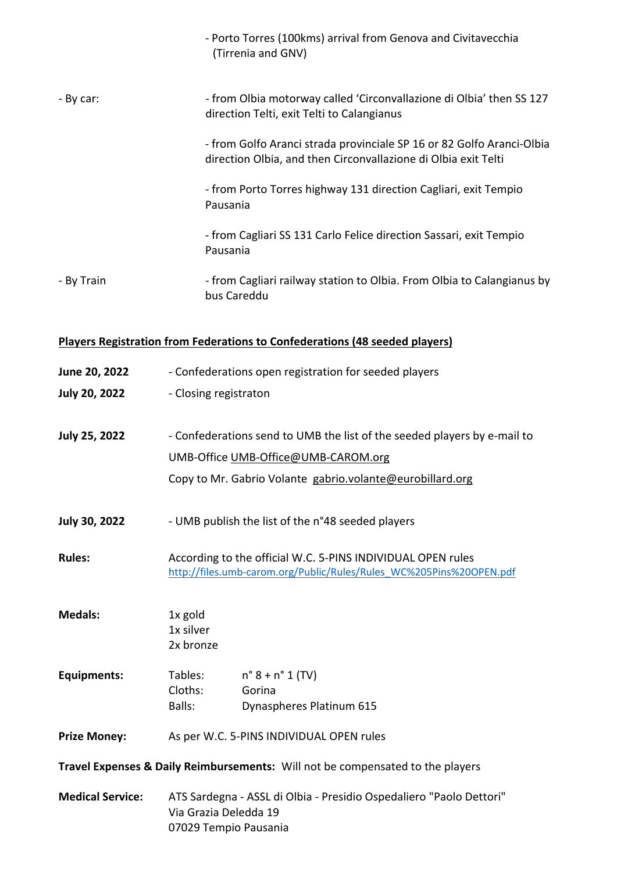|                                                                                    |                                                                                                                                    | - Porto Torres (100kms) arrival from Genova and Civitavecchia<br>(Tirrenia and GNV)                                                     |  |  |  |
|------------------------------------------------------------------------------------|------------------------------------------------------------------------------------------------------------------------------------|-----------------------------------------------------------------------------------------------------------------------------------------|--|--|--|
| - By car:                                                                          |                                                                                                                                    | - from Olbia motorway called 'Circonvallazione di Olbia' then SS 127<br>direction Telti, exit Telti to Calangianus                      |  |  |  |
|                                                                                    |                                                                                                                                    | - from Golfo Aranci strada provinciale SP 16 or 82 Golfo Aranci-Olbia<br>direction Olbia, and then Circonvallazione di Olbia exit Telti |  |  |  |
|                                                                                    | Pausania                                                                                                                           | - from Porto Torres highway 131 direction Cagliari, exit Tempio                                                                         |  |  |  |
|                                                                                    | Pausania                                                                                                                           | - from Cagliari SS 131 Carlo Felice direction Sassari, exit Tempio                                                                      |  |  |  |
| - By Train                                                                         | bus Careddu                                                                                                                        | - from Cagliari railway station to Olbia. From Olbia to Calangianus by                                                                  |  |  |  |
| <b>Players Registration from Federations to Confederations (48 seeded players)</b> |                                                                                                                                    |                                                                                                                                         |  |  |  |
| June 20, 2022                                                                      |                                                                                                                                    | - Confederations open registration for seeded players                                                                                   |  |  |  |
| <b>July 20, 2022</b>                                                               | - Closing registraton                                                                                                              |                                                                                                                                         |  |  |  |
| <b>July 25, 2022</b>                                                               |                                                                                                                                    | - Confederations send to UMB the list of the seeded players by e-mail to                                                                |  |  |  |
|                                                                                    | UMB-Office UMB-Office@UMB-CAROM.org                                                                                                |                                                                                                                                         |  |  |  |
|                                                                                    |                                                                                                                                    | Copy to Mr. Gabrio Volante gabrio.volante@eurobillard.org                                                                               |  |  |  |
| <b>July 30, 2022</b>                                                               | - UMB publish the list of the n°48 seeded players                                                                                  |                                                                                                                                         |  |  |  |
| <b>Rules:</b>                                                                      | According to the official W.C. 5-PINS INDIVIDUAL OPEN rules<br>http://files.umb-carom.org/Public/Rules/Rules WC%205Pins%20OPEN.pdf |                                                                                                                                         |  |  |  |
| <b>Medals:</b>                                                                     | 1x gold<br>1x silver<br>2x bronze                                                                                                  |                                                                                                                                         |  |  |  |
| <b>Equipments:</b>                                                                 | Tables:<br>Cloths:<br>Balls:                                                                                                       | $n^{\circ} 8 + n^{\circ} 1$ (TV)<br>Gorina<br>Dynaspheres Platinum 615                                                                  |  |  |  |

**Prize Money:** As per W.C. 5-PINS INDIVIDUAL OPEN rules

**Travel Expenses & Daily Reimbursements:** Will not be compensated to the players

**Medical Service:** ATS Sardegna - ASSL di Olbia - Presidio Ospedaliero "Paolo Dettori" Via Grazia Deledda 19 07029 Tempio Pausania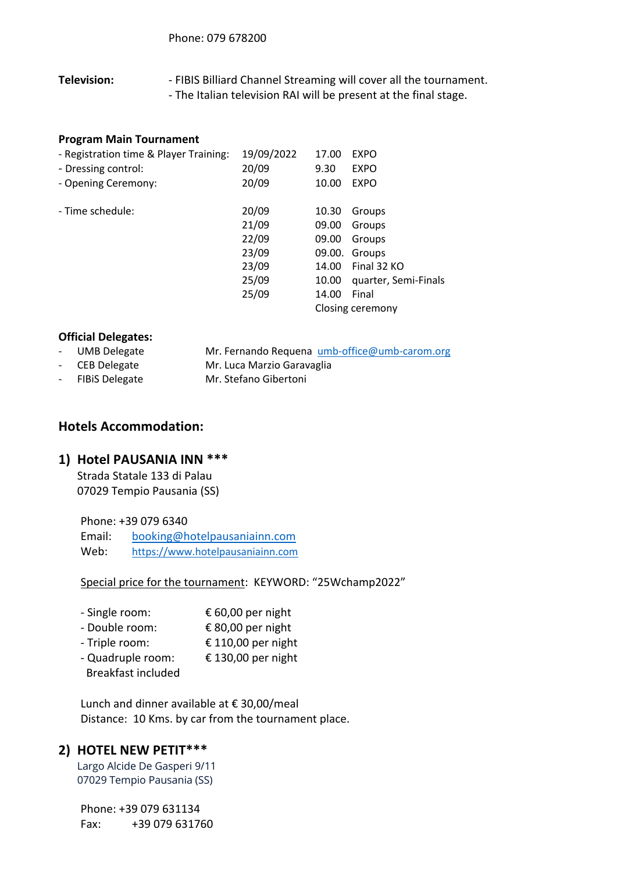**Television:** - FIBIS Billiard Channel Streaming will cover all the tournament. - The Italian television RAI will be present at the final stage.

### **Program Main Tournament**

| - Registration time & Player Training: | 19/09/2022 | 17.00  | <b>EXPO</b>          |
|----------------------------------------|------------|--------|----------------------|
| - Dressing control:                    | 20/09      | 9.30   | <b>EXPO</b>          |
| - Opening Ceremony:                    | 20/09      | 10.00  | <b>EXPO</b>          |
|                                        |            |        |                      |
| - Time schedule:                       | 20/09      | 10.30  | Groups               |
|                                        | 21/09      | 09.00  | Groups               |
|                                        | 22/09      | 09.00  | Groups               |
|                                        | 23/09      | 09.00. | Groups               |
|                                        | 23/09      | 14.00  | Final 32 KO          |
|                                        | 25/09      | 10.00  | quarter, Semi-Finals |
|                                        | 25/09      | 14.00  | Final                |
|                                        |            |        | Closing ceremony     |
|                                        |            |        |                      |

#### **Official Delegates:**

- UMB Delegate Mr. Fernando Requena umb-office@umb-carom.org
- - CEB Delegate Mr. Luca Marzio Garavaglia
- FIBiS Delegate Mr. Stefano Gibertoni

## **Hotels Accommodation:**

### **1) Hotel PAUSANIA INN \*\*\***

Strada Statale 133 di Palau 07029 Tempio Pausania (SS)

Phone: +39 079 6340 Email: booking@hotelpausaniainn.com Web: https://www.hotelpausaniainn.com

Special price for the tournament: KEYWORD: "25Wchamp2022"

| - Single room:            | € 60,00 per night  |
|---------------------------|--------------------|
| - Double room:            | € 80,00 per night  |
| - Triple room:            | € 110,00 per night |
| - Quadruple room:         | € 130,00 per night |
| <b>Breakfast included</b> |                    |

Lunch and dinner available at € 30,00/meal

# Distance: 10 Kms. by car from the tournament place.

### **2) HOTEL NEW PETIT\*\*\***

Largo Alcide De Gasperi 9/11 07029 Tempio Pausania (SS)

Phone: +39 079 631134 Fax: +39 079 631760